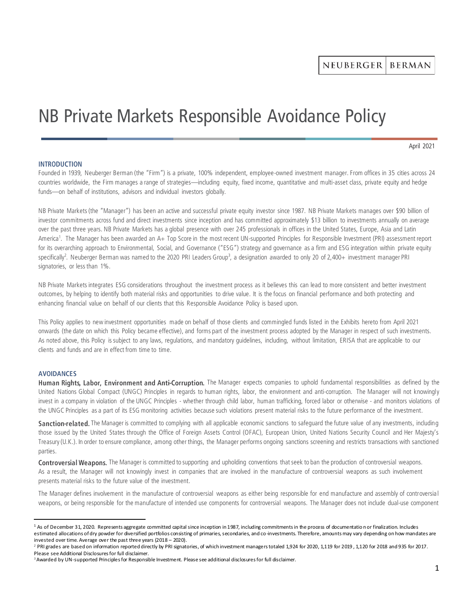# NB Private Markets Responsible Avoidance Policy

April 2021

#### **INTRODUCTION**

Founded in 1939, Neuberger Berman (the "Firm") is a private, 100% independent, employee-owned investment manager. From offices in 35 cities across 24 countries worldwide, the Firm manages a range of strategies—including equity, fixed income, quantitative and multi-asset class, private equity and hedge funds—on behalf of institutions, advisors and individual investors globally.

NB Private Markets (the "Manager") has been an active and successful private equity investor since 1987. NB Private Markets manages over \$90 billion of investor commitments across fund and direct investments since inception and has committed approximately \$13 billion to investments annually on average over the past three years. NB Private Markets has a global presence with over 245 professionals in offices in the United States, Europe, Asia and Latin America<sup>1</sup>. The Manager has been awarded an A+ Top Score in the most recent UN-supported Principles for Responsible Investment (PRI) assessment report for its overarching approach to Environmental, Social, and Governance ("ESG") strategy and governance as a firm and ESG integration within private equity specifically<sup>2</sup>. Neuberger Berman was named to the 2020 PRI Leaders Group<sup>3</sup>, a designation awarded to only 20 of 2,400+ investment manager PRI signatories, or less than 1%.

NB Private Markets integrates ESG considerations throughout the investment process as it believes this can lead to more consistent and better investment outcomes, by helping to identify both material risks and opportunities to drive value. It is the focus on financial performance and both protecting and enhancing financial value on behalf of our clients that this Responsible Avoidance Policy is based upon.

This Policy applies to new investment opportunities made on behalf of those clients and commingled funds listed in the Exhibits hereto from April 2021 onwards (the date on which this Policy became effective), and forms part of the investment process adopted by the Manager in respect of such investments. As noted above, this Policy is subject to any laws, regulations, and mandatory guidelines, including, without limitation, ERISA that are applicable to our clients and funds and are in effect from time to time.

### **AVOIDANCES**

Human Rights, Labor, Environment and Anti-Corruption. The Manager expects companies to uphold fundamental responsibilities as defined by the United Nations Global Compact (UNGC) Principles in regards to human rights, labor, the environment and anti-corruption. The Manager will not knowingly invest in a company in violation of the UNGC Principles - whether through child labor, human trafficking, forced labor or otherwise - and monitors violations of the UNGC Principles as a part of its ESG monitoring activities because such violations present material risks to the future performance of the investment.

Sanction-related. The Manager is committed to complying with all applicable economic sanctions to safeguard the future value of any investments, including those issued by the United States through the Office of Foreign Assets Control (OFAC), European Union, United Nations Security Council and Her Majesty's Treasury (U.K.). In order to ensure compliance, among other things, the Manager performs ongoing sanctions screening and restricts transactions with sanctioned parties.

Controversial Weapons. The Manager is committed to supporting and upholding conventions that seek to ban the production of controversial weapons. As a result, the Manager will not knowingly invest in companies that are involved in the manufacture of controversial weapons as such involvement presents material risks to the future value of the investment.

The Manager defines involvement in the manufacture of controversial weapons as either being responsible for end manufacture and assembly of controversial weapons, or being responsible for the manufacture of intended use components for controversial weapons. The Manager does not include dual-use component

<sup>&</sup>lt;sup>1</sup> As of December 31, 2020. Represents aggregate committed capital since inception in 1987, including commitments in the process of documentation or finalization. Includes estimated allocations of dry powder for diversified portfolios consisting of primaries, secondaries, and co-investments. Therefore, amounts may vary depending on how mandates are invested over time. Average over the past three years (2018 – 2020).

<sup>&</sup>lt;sup>2</sup> PRI grades are based on information reported directly by PRI signatories, of which investment managers totaled 1,924 for 2020, 1,119 for 2019, 1,120 for 2018 and 935 for 2017. Please see Additional Disclosures for full disclaimer.

<sup>&</sup>lt;sup>3</sup> Awarded by UN-supported Principles for Responsible Investment. Please see additional disclosures for full disclaimer.